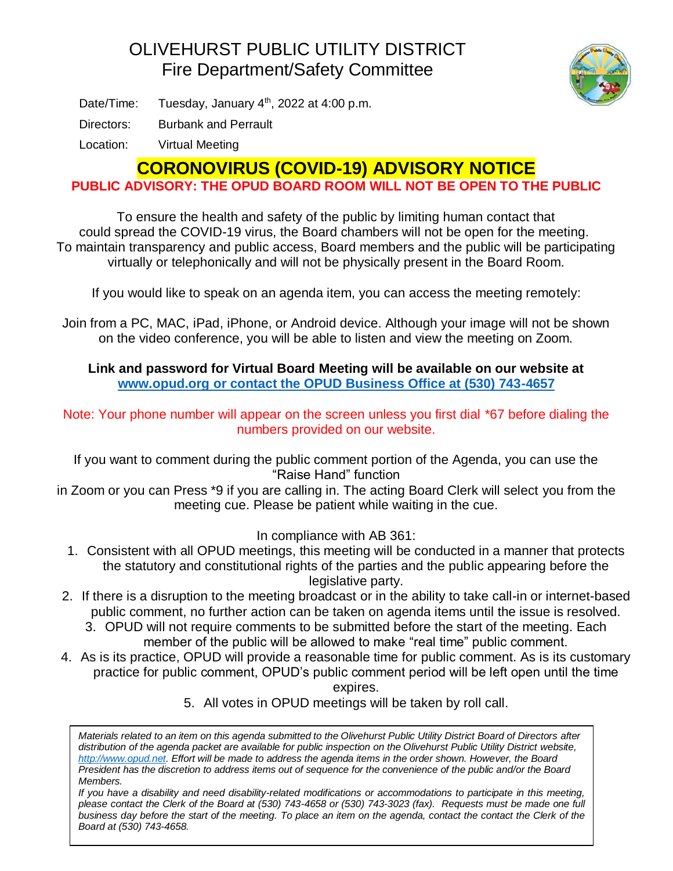## OLIVEHURST PUBLIC UTILITY DISTRICT Fire Department/Safety Committee



Date/Time: Tuesday, January  $4<sup>th</sup>$ , 2022 at 4:00 p.m.

Directors: Burbank and Perrault

Location: Virtual Meeting

## **CORONOVIRUS (COVID-19) ADVISORY NOTICE**

**PUBLIC ADVISORY: THE OPUD BOARD ROOM WILL NOT BE OPEN TO THE PUBLIC**

To ensure the health and safety of the public by limiting human contact that could spread the COVID-19 virus, the Board chambers will not be open for the meeting. To maintain transparency and public access, Board members and the public will be participating virtually or telephonically and will not be physically present in the Board Room.

If you would like to speak on an agenda item, you can access the meeting remotely:

Join from a PC, MAC, iPad, iPhone, or Android device. Although your image will not be shown on the video conference, you will be able to listen and view the meeting on Zoom.

## **Link and password for Virtual Board Meeting will be available on our website at [www.opud.org](http://www.opud.org/) or contact the OPUD Business Office at (530) 743-4657**

Note: Your phone number will appear on the screen unless you first dial \*67 before dialing the numbers provided on our website.

If you want to comment during the public comment portion of the Agenda, you can use the "Raise Hand" function

in Zoom or you can Press \*9 if you are calling in. The acting Board Clerk will select you from the meeting cue. Please be patient while waiting in the cue.

In compliance with AB 361:

- 1. Consistent with all OPUD meetings, this meeting will be conducted in a manner that protects the statutory and constitutional rights of the parties and the public appearing before the legislative party.
- 2. If there is a disruption to the meeting broadcast or in the ability to take call-in or internet-based public comment, no further action can be taken on agenda items until the issue is resolved.
	- 3. OPUD will not require comments to be submitted before the start of the meeting. Each member of the public will be allowed to make "real time" public comment.
- 4. As is its practice, OPUD will provide a reasonable time for public comment. As is its customary practice for public comment, OPUD's public comment period will be left open until the time expires.

5. All votes in OPUD meetings will be taken by roll call.

*Materials related to an item on this agenda submitted to the Olivehurst Public Utility District Board of Directors after distribution of the agenda packet are available for public inspection on the Olivehurst Public Utility District website, [http://www.opud.net.](http://www.opud.net/) Effort will be made to address the agenda items in the order shown. However, the Board President has the discretion to address items out of sequence for the convenience of the public and/or the Board Members.*

*If you have a disability and need disability-related modifications or accommodations to participate in this meeting, please contact the Clerk of the Board at (530) 743-4658 or (530) 743-3023 (fax). Requests must be made one full business day before the start of the meeting. To place an item on the agenda, contact the contact the Clerk of the Board at (530) 743-4658.*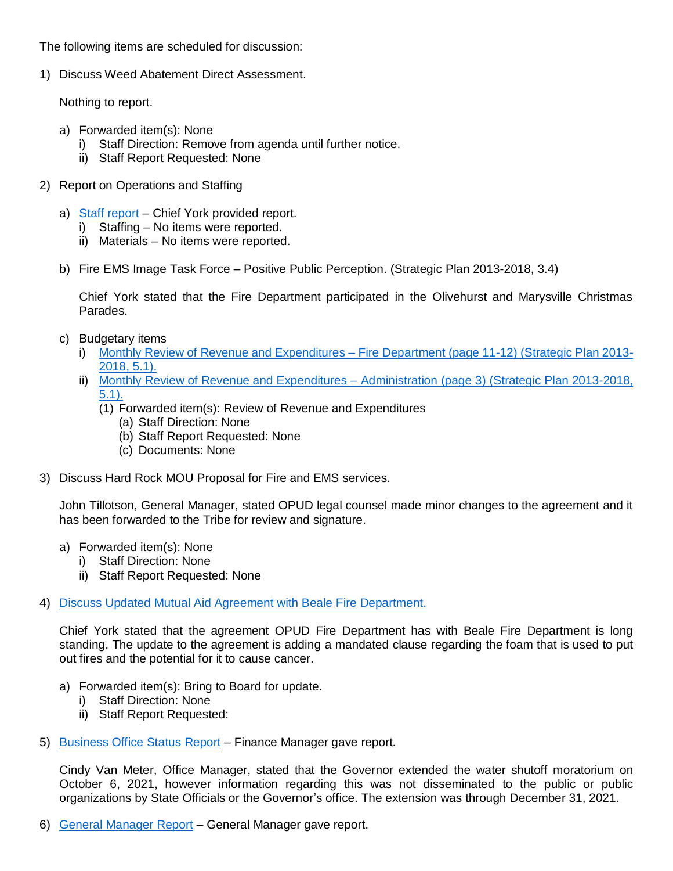The following items are scheduled for discussion:

1) Discuss Weed Abatement Direct Assessment.

Nothing to report.

- a) Forwarded item(s): None
	- i) Staff Direction: Remove from agenda until further notice.
	- ii) Staff Report Requested: None
- 2) Report on Operations and Staffing
	- a) [Staff report](https://www.opud.org/files/1c8afc2f8/FD_Item_2a-Fire_Dept_Report-January_2022.pdf) Chief York provided report.
		- i) Staffing No items were reported.
		- ii) Materials No items were reported.
	- b) Fire EMS Image Task Force Positive Public Perception. (Strategic Plan 2013-2018, 3.4)

Chief York stated that the Fire Department participated in the Olivehurst and Marysville Christmas Parades.

- c) Budgetary items
	- i) [Monthly Review of Revenue and Expenditures –](https://www.opud.org/files/89218600e/All_Agendas-Revenue_and_Expenditures_FY_2021-22.pdf) Fire Department (page 11-12) (Strategic Plan 2013- [2018, 5.1\).](https://www.opud.org/files/89218600e/All_Agendas-Revenue_and_Expenditures_FY_2021-22.pdf)
	- ii) [Monthly Review of Revenue and Expenditures –](https://www.opud.org/files/89218600e/All_Agendas-Revenue_and_Expenditures_FY_2021-22.pdf) Administration (page 3) (Strategic Plan 2013-2018, [5.1\).](https://www.opud.org/files/89218600e/All_Agendas-Revenue_and_Expenditures_FY_2021-22.pdf)
		- (1) Forwarded item(s): Review of Revenue and Expenditures
			- (a) Staff Direction: None
			- (b) Staff Report Requested: None
			- (c) Documents: None
- 3) Discuss Hard Rock MOU Proposal for Fire and EMS services.

John Tillotson, General Manager, stated OPUD legal counsel made minor changes to the agreement and it has been forwarded to the Tribe for review and signature.

- a) Forwarded item(s): None
	- i) Staff Direction: None
	- ii) Staff Report Requested: None
- 4) [Discuss Updated Mutual Aid Agreement with Beale Fire Department.](https://www.opud.org/files/5f4c6dead/FD_Item_4-Updated_Mutual_Aid_Agreement_Beale_Fire_Dept.pdf)

Chief York stated that the agreement OPUD Fire Department has with Beale Fire Department is long standing. The update to the agreement is adding a mandated clause regarding the foam that is used to put out fires and the potential for it to cause cancer.

- a) Forwarded item(s): Bring to Board for update.
	- i) Staff Direction: None
	- ii) Staff Report Requested:
- 5) [Business Office Status Report](https://www.opud.org/files/a64e7a8bb/FD_Item_5-Business_Office_Status_Report_December_2021.pdf) Finance Manager gave report.

Cindy Van Meter, Office Manager, stated that the Governor extended the water shutoff moratorium on October 6, 2021, however information regarding this was not disseminated to the public or public organizations by State Officials or the Governor's office. The extension was through December 31, 2021.

6) [General Manager Report](https://www.opud.org/files/4466bb7cc/All_Agendas-GM_Committee_Report_December_2021.pdf) – General Manager gave report.